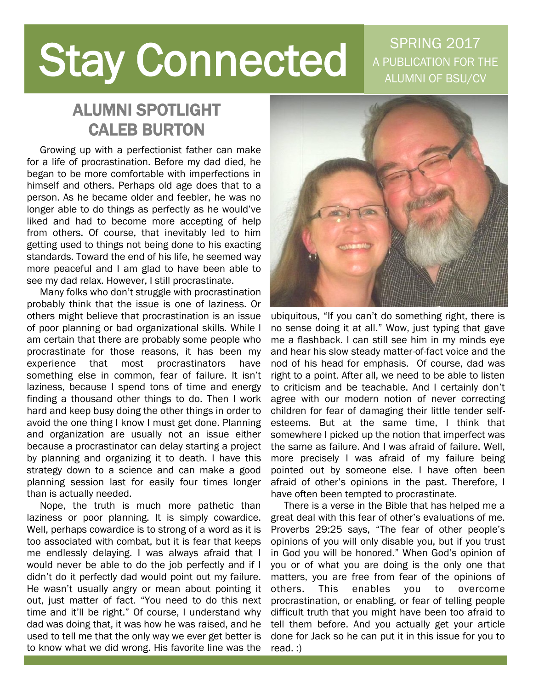# **Stay Connected**

SPRING 2017 A PUBLICATION FOR THE ALUMNI OF BSU/CV

## ALUMNI SPOTLIGHT CALEB BURTON

 Growing up with a perfectionist father can make for a life of procrastination. Before my dad died, he began to be more comfortable with imperfections in himself and others. Perhaps old age does that to a person. As he became older and feebler, he was no longer able to do things as perfectly as he would've liked and had to become more accepting of help from others. Of course, that inevitably led to him getting used to things not being done to his exacting standards. Toward the end of his life, he seemed way more peaceful and I am glad to have been able to see my dad relax. However, I still procrastinate.

 Many folks who don't struggle with procrastination probably think that the issue is one of laziness. Or others might believe that procrastination is an issue of poor planning or bad organizational skills. While I am certain that there are probably some people who procrastinate for those reasons, it has been my experience that most procrastinators have something else in common, fear of failure. It isn't laziness, because I spend tons of time and energy finding a thousand other things to do. Then I work hard and keep busy doing the other things in order to avoid the one thing I know I must get done. Planning and organization are usually not an issue either because a procrastinator can delay starting a project by planning and organizing it to death. I have this strategy down to a science and can make a good planning session last for easily four times longer than is actually needed.

 Nope, the truth is much more pathetic than laziness or poor planning. It is simply cowardice. Well, perhaps cowardice is to strong of a word as it is too associated with combat, but it is fear that keeps me endlessly delaying. I was always afraid that I would never be able to do the job perfectly and if I didn't do it perfectly dad would point out my failure. He wasn't usually angry or mean about pointing it out, just matter of fact. "You need to do this next time and it'll be right." Of course, I understand why dad was doing that, it was how he was raised, and he used to tell me that the only way we ever get better is to know what we did wrong. His favorite line was the



ubiquitous, "If you can't do something right, there is no sense doing it at all." Wow, just typing that gave me a flashback. I can still see him in my minds eye and hear his slow steady matter-of-fact voice and the nod of his head for emphasis. Of course, dad was right to a point. After all, we need to be able to listen to criticism and be teachable. And I certainly don't agree with our modern notion of never correcting children for fear of damaging their little tender selfesteems. But at the same time, I think that somewhere I picked up the notion that imperfect was the same as failure. And I was afraid of failure. Well, more precisely I was afraid of my failure being pointed out by someone else. I have often been afraid of other's opinions in the past. Therefore, I have often been tempted to procrastinate.

 There is a verse in the Bible that has helped me a great deal with this fear of other's evaluations of me. Proverbs 29:25 says, "The fear of other people's opinions of you will only disable you, but if you trust in God you will be honored." When God's opinion of you or of what you are doing is the only one that matters, you are free from fear of the opinions of others. This enables you to overcome procrastination, or enabling, or fear of telling people difficult truth that you might have been too afraid to tell them before. And you actually get your article done for Jack so he can put it in this issue for you to read. :)